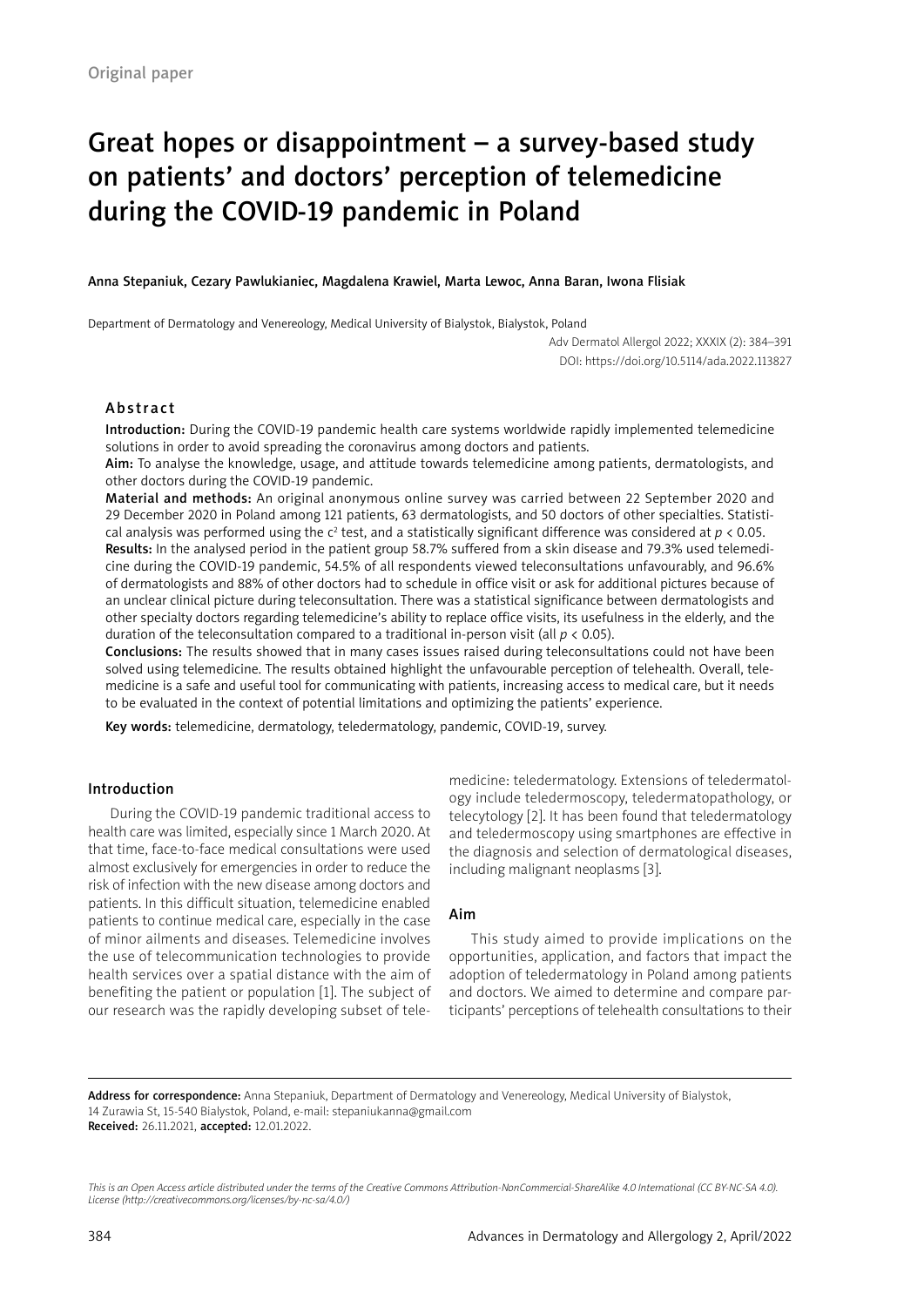# Great hopes or disappointment – a survey-based study on patients' and doctors' perception of telemedicine during the COVID-19 pandemic in Poland

Anna Stepaniuk, Cezary Pawlukianiec, Magdalena Krawiel, Marta Lewoc, Anna Baran, Iwona Flisiak

Department of Dermatology and Venereology, Medical University of Bialystok, Bialystok, Poland

Adv Dermatol Allergol 2022; XXXIX (2): 384–391 DOI: https://doi.org/10.5114/ada.2022.113827

## Abstract

Introduction: During the COVID-19 pandemic health care systems worldwide rapidly implemented telemedicine solutions in order to avoid spreading the coronavirus among doctors and patients.

Aim: To analyse the knowledge, usage, and attitude towards telemedicine among patients, dermatologists, and other doctors during the COVID-19 pandemic.

Material and methods: An original anonymous online survey was carried between 22 September 2020 and 29 December 2020 in Poland among 121 patients, 63 dermatologists, and 50 doctors of other specialties. Statistical analysis was performed using the c<sup>2</sup> test, and a statistically significant difference was considered at *p* < 0.05.

Results: In the analysed period in the patient group 58.7% suffered from a skin disease and 79.3% used telemedicine during the COVID-19 pandemic, 54.5% of all respondents viewed teleconsultations unfavourably, and 96.6% of dermatologists and 88% of other doctors had to schedule in office visit or ask for additional pictures because of an unclear clinical picture during teleconsultation. There was a statistical significance between dermatologists and other specialty doctors regarding telemedicine's ability to replace office visits, its usefulness in the elderly, and the duration of the teleconsultation compared to a traditional in-person visit (all *p* < 0.05).

Conclusions: The results showed that in many cases issues raised during teleconsultations could not have been solved using telemedicine. The results obtained highlight the unfavourable perception of telehealth. Overall, telemedicine is a safe and useful tool for communicating with patients, increasing access to medical care, but it needs to be evaluated in the context of potential limitations and optimizing the patients' experience.

Key words: telemedicine, dermatology, teledermatology, pandemic, COVID-19, survey.

## Introduction

During the COVID-19 pandemic traditional access to health care was limited, especially since 1 March 2020. At that time, face-to-face medical consultations were used almost exclusively for emergencies in order to reduce the risk of infection with the new disease among doctors and patients. In this difficult situation, telemedicine enabled patients to continue medical care, especially in the case of minor ailments and diseases. Telemedicine involves the use of telecommunication technologies to provide health services over a spatial distance with the aim of benefiting the patient or population [1]. The subject of our research was the rapidly developing subset of telemedicine: teledermatology. Extensions of teledermatology include teledermoscopy, teledermatopathology, or telecytology [2]. It has been found that teledermatology and teledermoscopy using smartphones are effective in the diagnosis and selection of dermatological diseases, including malignant neoplasms [3].

## Aim

This study aimed to provide implications on the opportunities, application, and factors that impact the adoption of teledermatology in Poland among patients and doctors. We aimed to determine and compare participants' perceptions of telehealth consultations to their

Address for correspondence: Anna Stepaniuk, Department of Dermatology and Venereology, Medical University of Bialystok, 14 Zurawia St, 15-540 Bialystok, Poland, e-mail: stepaniukanna@gmail.com Received: 26.11.2021, accepted: 12.01.2022.

*This is an Open Access article distributed under the terms of the Creative Commons Attribution-NonCommercial-ShareAlike 4.0 International (CC BY-NC-SA 4.0). License (http://creativecommons.org/licenses/by-nc-sa/4.0/)*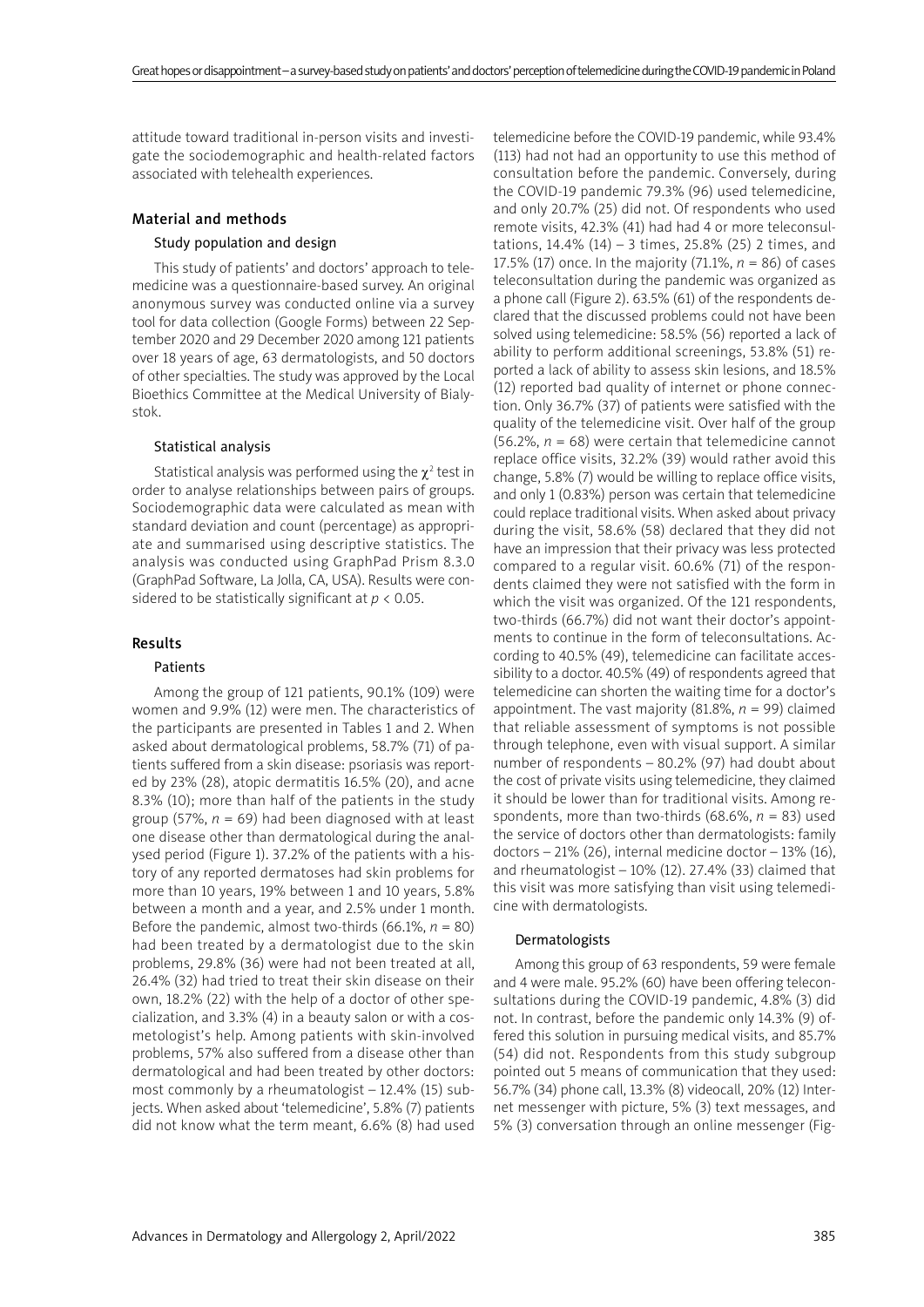attitude toward traditional in-person visits and investigate the sociodemographic and health-related factors associated with telehealth experiences.

## Material and methods

#### Study population and design

This study of patients' and doctors' approach to telemedicine was a questionnaire-based survey. An original anonymous survey was conducted online via a survey tool for data collection (Google Forms) between 22 September 2020 and 29 December 2020 among 121 patients over 18 years of age, 63 dermatologists, and 50 doctors of other specialties. The study was approved by the Local Bioethics Committee at the Medical University of Bialystok.

## Statistical analysis

Statistical analysis was performed using the  $\chi^2$  test in order to analyse relationships between pairs of groups. Sociodemographic data were calculated as mean with standard deviation and count (percentage) as appropriate and summarised using descriptive statistics. The analysis was conducted using GraphPad Prism 8.3.0 (GraphPad Software, La Jolla, CA, USA). Results were considered to be statistically significant at *p* < 0.05.

#### Results

## Patients

Among the group of 121 patients, 90.1% (109) were women and 9.9% (12) were men. The characteristics of the participants are presented in Tables 1 and 2. When asked about dermatological problems, 58.7% (71) of patients suffered from a skin disease: psoriasis was reported by 23% (28), atopic dermatitis 16.5% (20), and acne 8.3% (10); more than half of the patients in the study group (57%,  $n = 69$ ) had been diagnosed with at least one disease other than dermatological during the analysed period (Figure 1). 37.2% of the patients with a history of any reported dermatoses had skin problems for more than 10 years, 19% between 1 and 10 years, 5.8% between a month and a year, and 2.5% under 1 month. Before the pandemic, almost two-thirds (66.1%,  $n = 80$ ) had been treated by a dermatologist due to the skin problems, 29.8% (36) were had not been treated at all, 26.4% (32) had tried to treat their skin disease on their own, 18.2% (22) with the help of a doctor of other specialization, and 3.3% (4) in a beauty salon or with a cosmetologist's help. Among patients with skin-involved problems, 57% also suffered from a disease other than dermatological and had been treated by other doctors: most commonly by a rheumatologist – 12.4% (15) subjects. When asked about 'telemedicine', 5.8% (7) patients did not know what the term meant, 6.6% (8) had used

telemedicine before the COVID-19 pandemic, while 93.4% (113) had not had an opportunity to use this method of consultation before the pandemic. Conversely, during the COVID-19 pandemic 79.3% (96) used telemedicine, and only 20.7% (25) did not. Of respondents who used remote visits, 42.3% (41) had had 4 or more teleconsultations,  $14.4\%$  ( $14$ ) – 3 times,  $25.8\%$  ( $25$ ) 2 times, and 17.5% (17) once. In the majority (71.1%, *n* = 86) of cases teleconsultation during the pandemic was organized as a phone call (Figure 2). 63.5% (61) of the respondents declared that the discussed problems could not have been solved using telemedicine: 58.5% (56) reported a lack of ability to perform additional screenings, 53.8% (51) reported a lack of ability to assess skin lesions, and 18.5% (12) reported bad quality of internet or phone connection. Only 36.7% (37) of patients were satisfied with the quality of the telemedicine visit. Over half of the group (56.2%,  $n = 68$ ) were certain that telemedicine cannot replace office visits, 32.2% (39) would rather avoid this change, 5.8% (7) would be willing to replace office visits, and only 1 (0.83%) person was certain that telemedicine could replace traditional visits. When asked about privacy during the visit, 58.6% (58) declared that they did not have an impression that their privacy was less protected compared to a regular visit. 60.6% (71) of the respondents claimed they were not satisfied with the form in which the visit was organized. Of the 121 respondents, two-thirds (66.7%) did not want their doctor's appointments to continue in the form of teleconsultations. According to 40.5% (49), telemedicine can facilitate accessibility to a doctor. 40.5% (49) of respondents agreed that telemedicine can shorten the waiting time for a doctor's appointment. The vast majority  $(81.8\%, n = 99)$  claimed that reliable assessment of symptoms is not possible through telephone, even with visual support. A similar number of respondents – 80.2% (97) had doubt about the cost of private visits using telemedicine, they claimed it should be lower than for traditional visits. Among respondents, more than two-thirds (68.6%, *n* = 83) used the service of doctors other than dermatologists: family doctors – 21% (26), internal medicine doctor – 13% (16), and rheumatologist – 10% (12). 27.4% (33) claimed that this visit was more satisfying than visit using telemedicine with dermatologists.

#### Dermatologists

Among this group of 63 respondents, 59 were female and 4 were male. 95.2% (60) have been offering teleconsultations during the COVID-19 pandemic, 4.8% (3) did not. In contrast, before the pandemic only 14.3% (9) offered this solution in pursuing medical visits, and 85.7% (54) did not. Respondents from this study subgroup pointed out 5 means of communication that they used: 56.7% (34) phone call, 13.3% (8) videocall, 20% (12) Internet messenger with picture, 5% (3) text messages, and 5% (3) conversation through an online messenger (Fig-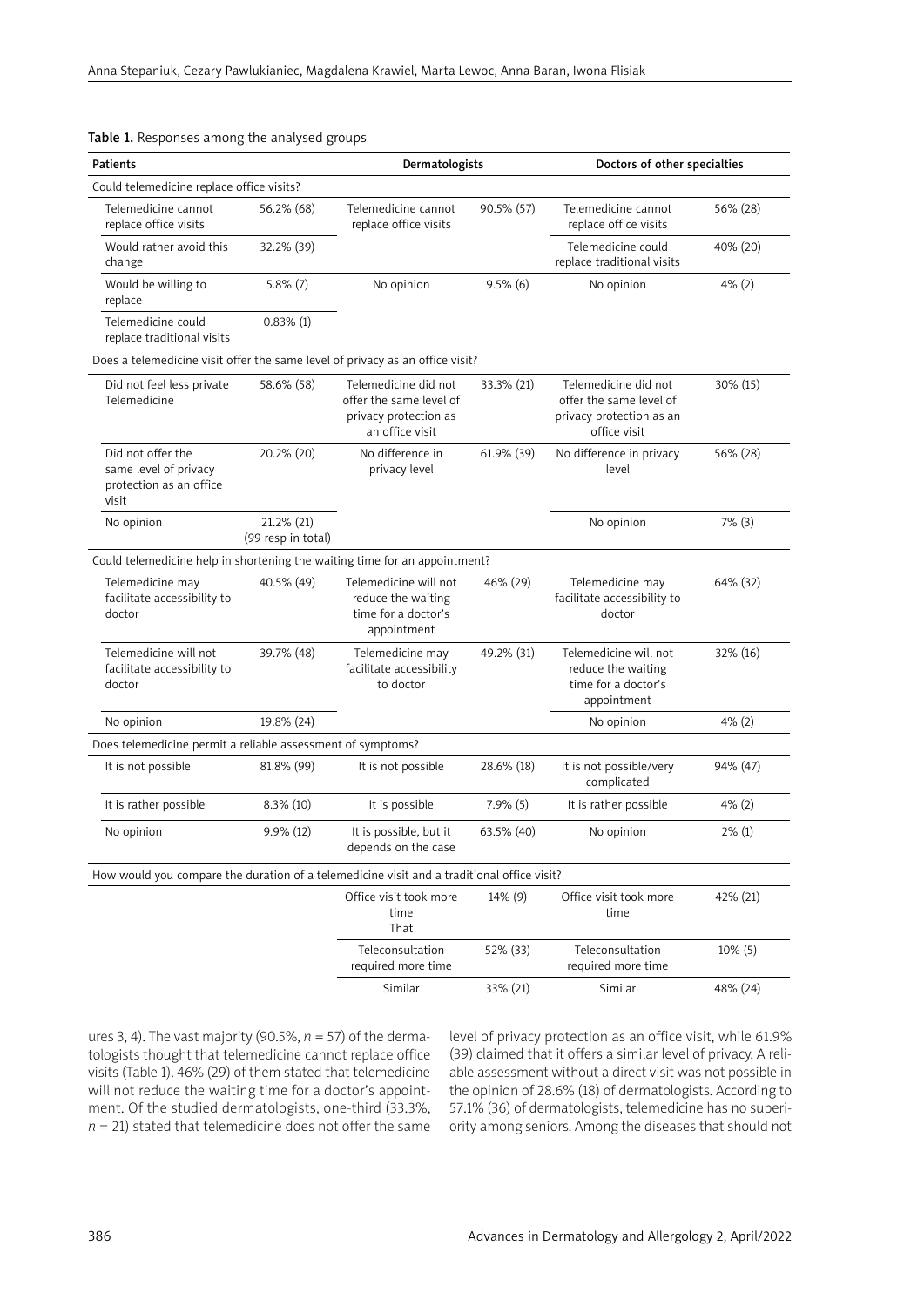| Patients                                                                                   |                                  | Dermatologists                                                                              |             | Doctors of other specialties                                                                |           |  |  |  |
|--------------------------------------------------------------------------------------------|----------------------------------|---------------------------------------------------------------------------------------------|-------------|---------------------------------------------------------------------------------------------|-----------|--|--|--|
| Could telemedicine replace office visits?                                                  |                                  |                                                                                             |             |                                                                                             |           |  |  |  |
| Telemedicine cannot<br>replace office visits                                               | 56.2% (68)                       | Telemedicine cannot<br>replace office visits                                                | 90.5% (57)  | Telemedicine cannot<br>replace office visits                                                | 56% (28)  |  |  |  |
| Would rather avoid this<br>change                                                          | 32.2% (39)                       |                                                                                             |             | Telemedicine could<br>replace traditional visits                                            | 40% (20)  |  |  |  |
| Would be willing to<br>replace                                                             | $5.8\%$ (7)                      | No opinion                                                                                  | $9.5\%$ (6) | No opinion                                                                                  | $4\%$ (2) |  |  |  |
| Telemedicine could<br>replace traditional visits                                           | $0.83\%$ (1)                     |                                                                                             |             |                                                                                             |           |  |  |  |
| Does a telemedicine visit offer the same level of privacy as an office visit?              |                                  |                                                                                             |             |                                                                                             |           |  |  |  |
| Did not feel less private<br>Telemedicine                                                  | 58.6% (58)                       | Telemedicine did not<br>offer the same level of<br>privacy protection as<br>an office visit | 33.3% (21)  | Telemedicine did not<br>offer the same level of<br>privacy protection as an<br>office visit | 30% (15)  |  |  |  |
| Did not offer the<br>same level of privacy<br>protection as an office<br>visit             | 20.2% (20)                       | No difference in<br>privacy level                                                           | 61.9% (39)  | No difference in privacy<br>level                                                           | 56% (28)  |  |  |  |
| No opinion                                                                                 | 21.2% (21)<br>(99 resp in total) |                                                                                             |             | No opinion                                                                                  | $7\%$ (3) |  |  |  |
| Could telemedicine help in shortening the waiting time for an appointment?                 |                                  |                                                                                             |             |                                                                                             |           |  |  |  |
| Telemedicine may<br>facilitate accessibility to<br>doctor                                  | 40.5% (49)                       | Telemedicine will not<br>reduce the waiting<br>time for a doctor's<br>appointment           | 46% (29)    | Telemedicine may<br>facilitate accessibility to<br>doctor                                   | 64% (32)  |  |  |  |
| Telemedicine will not<br>facilitate accessibility to<br>doctor                             | 39.7% (48)                       | Telemedicine may<br>facilitate accessibility<br>to doctor                                   | 49.2% (31)  | Telemedicine will not<br>reduce the waiting<br>time for a doctor's<br>appointment           | 32% (16)  |  |  |  |
| No opinion                                                                                 | 19.8% (24)                       |                                                                                             |             | No opinion                                                                                  | 4% (2)    |  |  |  |
| Does telemedicine permit a reliable assessment of symptoms?                                |                                  |                                                                                             |             |                                                                                             |           |  |  |  |
| It is not possible                                                                         | 81.8% (99)                       | It is not possible                                                                          | 28.6% (18)  | It is not possible/very<br>complicated                                                      | 94% (47)  |  |  |  |
| It is rather possible                                                                      | $8.3\%$ (10)                     | It is possible                                                                              | $7.9\%$ (5) | It is rather possible                                                                       | $4\%$ (2) |  |  |  |
| No opinion                                                                                 | 9.9% (12)                        | It is possible, but it<br>depends on the case                                               | 63.5% (40)  | No opinion                                                                                  | $2\%$ (1) |  |  |  |
| How would you compare the duration of a telemedicine visit and a traditional office visit? |                                  |                                                                                             |             |                                                                                             |           |  |  |  |
|                                                                                            |                                  | Office visit took more<br>time<br>That                                                      | 14% (9)     | Office visit took more<br>time                                                              | 42% (21)  |  |  |  |
|                                                                                            |                                  | Teleconsultation<br>required more time                                                      | 52% (33)    | Teleconsultation<br>required more time                                                      | 10% (5)   |  |  |  |
|                                                                                            |                                  | Similar                                                                                     | 33% (21)    | Similar                                                                                     | 48% (24)  |  |  |  |

## Table 1. Responses among the analysed groups

ures 3, 4). The vast majority (90.5%, *n* = 57) of the dermatologists thought that telemedicine cannot replace office visits (Table 1). 46% (29) of them stated that telemedicine will not reduce the waiting time for a doctor's appointment. Of the studied dermatologists, one-third (33.3%,  $n = 21$ ) stated that telemedicine does not offer the same

level of privacy protection as an office visit, while 61.9% (39) claimed that it offers a similar level of privacy. A reliable assessment without a direct visit was not possible in the opinion of 28.6% (18) of dermatologists. According to 57.1% (36) of dermatologists, telemedicine has no superiority among seniors. Among the diseases that should not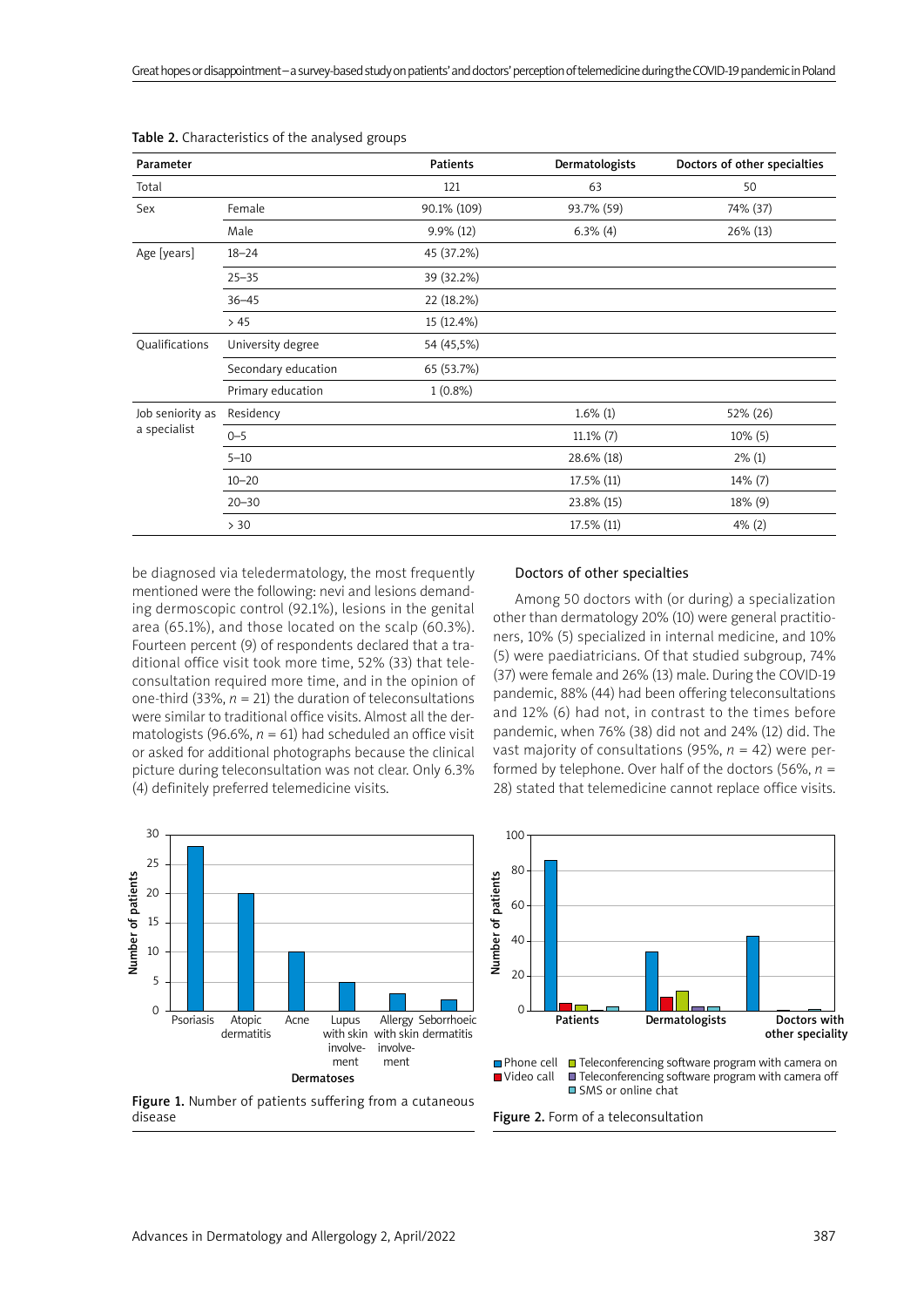| Parameter                        |                     | <b>Patients</b> | Dermatologists | Doctors of other specialties |
|----------------------------------|---------------------|-----------------|----------------|------------------------------|
| Total                            |                     | 121             | 63             | 50                           |
| Sex                              | Female              | 90.1% (109)     | 93.7% (59)     | 74% (37)                     |
|                                  | Male                | $9.9\%$ (12)    | $6.3\%$ (4)    | 26% (13)                     |
| Age [years]                      | $18 - 24$           | 45 (37.2%)      |                |                              |
|                                  | $25 - 35$           | 39 (32.2%)      |                |                              |
|                                  | $36 - 45$           | 22 (18.2%)      |                |                              |
|                                  | >45                 | 15 (12.4%)      |                |                              |
| Qualifications                   | University degree   | 54 (45,5%)      |                |                              |
|                                  | Secondary education | 65 (53.7%)      |                |                              |
|                                  | Primary education   | $1(0.8\%)$      |                |                              |
| Job seniority as<br>a specialist | Residency           |                 | $1.6\%$ (1)    | 52% (26)                     |
|                                  | $0 - 5$             |                 | $11.1\%$ (7)   | 10% (5)                      |
|                                  | $5 - 10$            |                 | 28.6% (18)     | $2\%$ (1)                    |
|                                  | $10 - 20$           |                 | 17.5% (11)     | 14% (7)                      |
|                                  | $20 - 30$           |                 | 23.8% (15)     | 18% (9)                      |
|                                  | > 30                |                 | 17.5% (11)     | $4\%$ (2)                    |

100

Table 2. Characteristics of the analysed groups

be diagnosed via teledermatology, the most frequently mentioned were the following: nevi and lesions demanding dermoscopic control (92.1%), lesions in the genital area (65.1%), and those located on the scalp (60.3%). Fourteen percent (9) of respondents declared that a traditional office visit took more time, 52% (33) that teleconsultation required more time, and in the opinion of one-third (33%,  $n = 21$ ) the duration of teleconsultations were similar to traditional office visits. Almost all the dermatologists (96.6%,  $n = 61$ ) had scheduled an office visit or asked for additional photographs because the clinical picture during teleconsultation was not clear. Only 6.3% (4) definitely preferred telemedicine visits.



Among 50 doctors with (or during) a specialization other than dermatology 20% (10) were general practitioners, 10% (5) specialized in internal medicine, and 10% (5) were paediatricians. Of that studied subgroup, 74% (37) were female and 26% (13) male. During the COVID-19 pandemic, 88% (44) had been offering teleconsultations and 12% (6) had not, in contrast to the times before pandemic, when 76% (38) did not and 24% (12) did. The vast majority of consultations (95%, *n* = 42) were performed by telephone. Over half of the doctors (56%, *n* = 28) stated that telemedicine cannot replace office visits.





disease



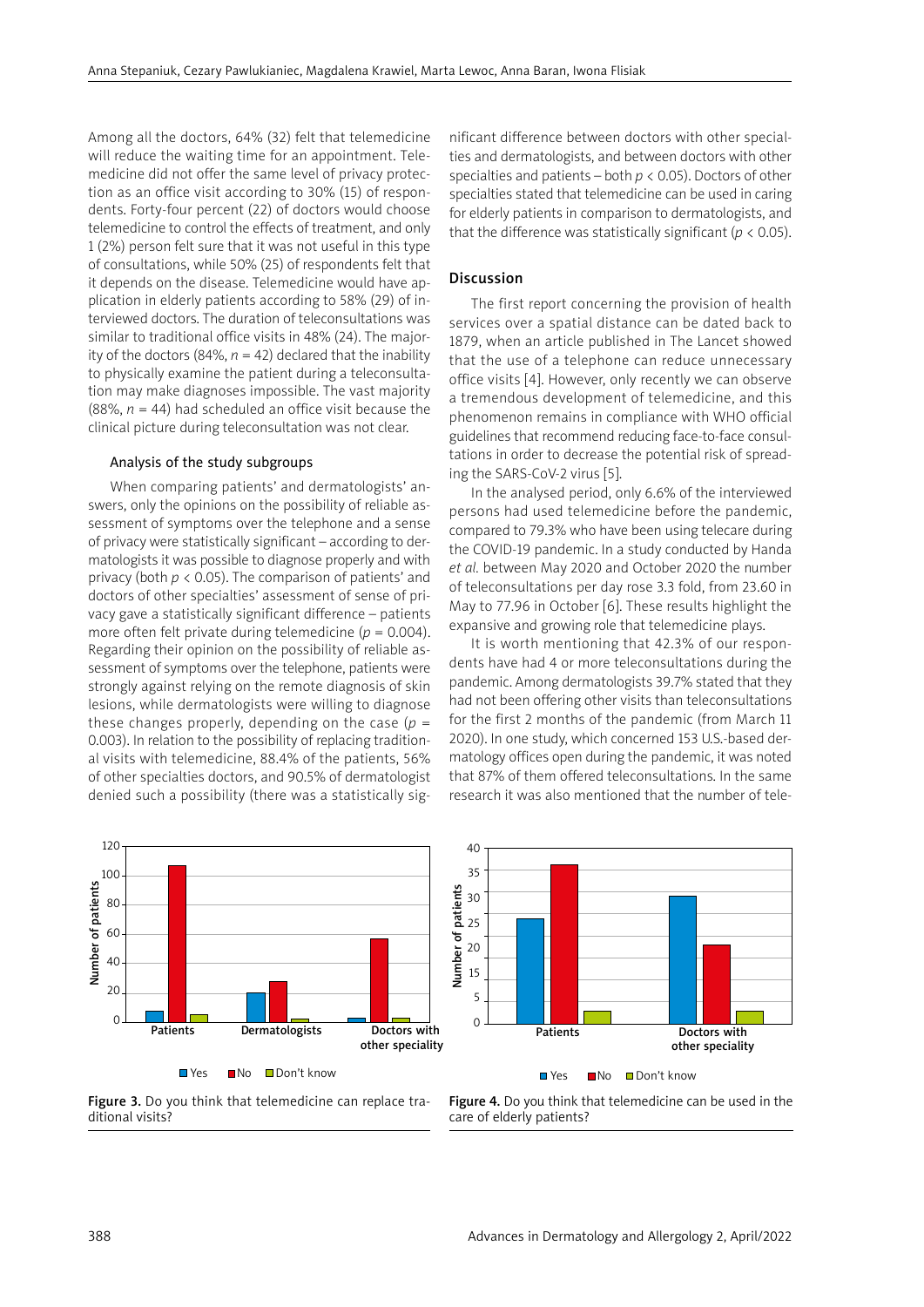Among all the doctors, 64% (32) felt that telemedicine will reduce the waiting time for an appointment. Telemedicine did not offer the same level of privacy protection as an office visit according to 30% (15) of respondents. Forty-four percent (22) of doctors would choose telemedicine to control the effects of treatment, and only 1 (2%) person felt sure that it was not useful in this type of consultations, while 50% (25) of respondents felt that it depends on the disease. Telemedicine would have application in elderly patients according to 58% (29) of interviewed doctors. The duration of teleconsultations was similar to traditional office visits in 48% (24). The majority of the doctors (84%,  $n = 42$ ) declared that the inability to physically examine the patient during a teleconsultation may make diagnoses impossible. The vast majority (88%,  $n = 44$ ) had scheduled an office visit because the clinical picture during teleconsultation was not clear.

## Analysis of the study subgroups

When comparing patients' and dermatologists' answers, only the opinions on the possibility of reliable assessment of symptoms over the telephone and a sense of privacy were statistically significant – according to dermatologists it was possible to diagnose properly and with privacy (both *p* < 0.05). The comparison of patients' and doctors of other specialties' assessment of sense of privacy gave a statistically significant difference – patients more often felt private during telemedicine ( $p = 0.004$ ). Regarding their opinion on the possibility of reliable assessment of symptoms over the telephone, patients were strongly against relying on the remote diagnosis of skin lesions, while dermatologists were willing to diagnose these changes properly, depending on the case (*p* = 0.003). In relation to the possibility of replacing traditional visits with telemedicine, 88.4% of the patients, 56% of other specialties doctors, and 90.5% of dermatologist denied such a possibility (there was a statistically significant difference between doctors with other specialties and dermatologists, and between doctors with other specialties and patients – both *p* < 0.05). Doctors of other specialties stated that telemedicine can be used in caring for elderly patients in comparison to dermatologists, and that the difference was statistically significant ( $p < 0.05$ ).

## Discussion

The first report concerning the provision of health services over a spatial distance can be dated back to 1879, when an article published in The Lancet showed that the use of a telephone can reduce unnecessary office visits [4]. However, only recently we can observe a tremendous development of telemedicine, and this phenomenon remains in compliance with WHO official guidelines that recommend reducing face-to-face consultations in order to decrease the potential risk of spreading the SARS-CoV-2 virus [5].

In the analysed period, only 6.6% of the interviewed persons had used telemedicine before the pandemic, compared to 79.3% who have been using telecare during the COVID-19 pandemic. In a study conducted by Handa *et al.* between May 2020 and October 2020 the number of teleconsultations per day rose 3.3 fold, from 23.60 in May to 77.96 in October [6]. These results highlight the expansive and growing role that telemedicine plays.

It is worth mentioning that 42.3% of our respondents have had 4 or more teleconsultations during the pandemic. Among dermatologists 39.7% stated that they had not been offering other visits than teleconsultations for the first 2 months of the pandemic (from March 11 2020). In one study, which concerned 153 U.S.-based dermatology offices open during the pandemic, it was noted that 87% of them offered teleconsultations. In the same research it was also mentioned that the number of tele-



Figure 3. Do you think that telemedicine can replace traditional visits?

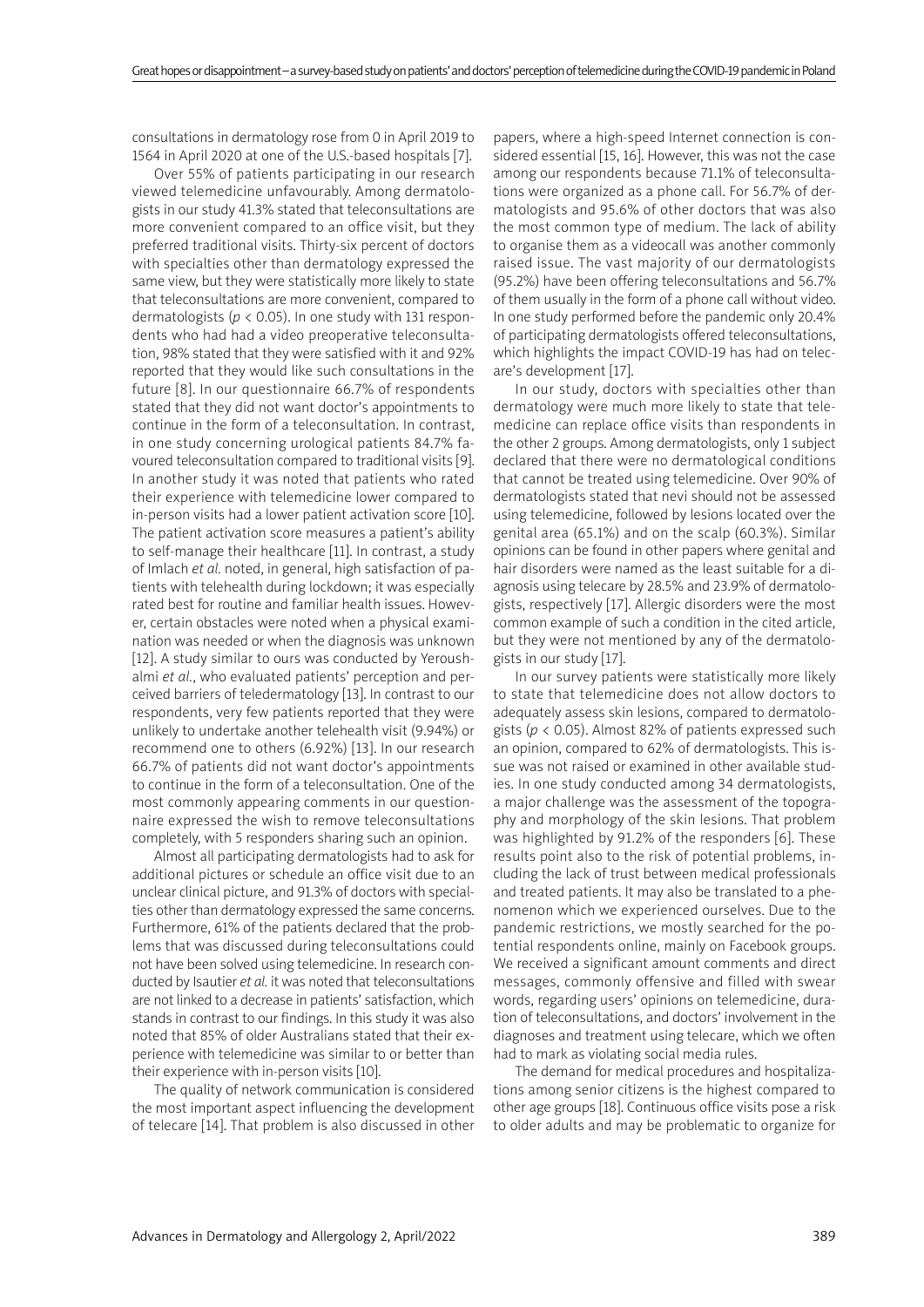consultations in dermatology rose from 0 in April 2019 to 1564 in April 2020 at one of the U.S.-based hospitals [7].

Over 55% of patients participating in our research viewed telemedicine unfavourably. Among dermatologists in our study 41.3% stated that teleconsultations are more convenient compared to an office visit, but they preferred traditional visits. Thirty-six percent of doctors with specialties other than dermatology expressed the same view, but they were statistically more likely to state that teleconsultations are more convenient, compared to dermatologists ( $p < 0.05$ ). In one study with 131 respondents who had had a video preoperative teleconsultation, 98% stated that they were satisfied with it and 92% reported that they would like such consultations in the future [8]. In our questionnaire 66.7% of respondents stated that they did not want doctor's appointments to continue in the form of a teleconsultation. In contrast, in one study concerning urological patients 84.7% favoured teleconsultation compared to traditional visits [9]. In another study it was noted that patients who rated their experience with telemedicine lower compared to in-person visits had a lower patient activation score [10]. The patient activation score measures a patient's ability to self-manage their healthcare [11]. In contrast, a study of Imlach *et al.* noted, in general, high satisfaction of patients with telehealth during lockdown; it was especially rated best for routine and familiar health issues. However, certain obstacles were noted when a physical examination was needed or when the diagnosis was unknown [12]. A study similar to ours was conducted by Yeroushalmi *et al.*, who evaluated patients' perception and perceived barriers of teledermatology [13]. In contrast to our respondents, very few patients reported that they were unlikely to undertake another telehealth visit (9.94%) or recommend one to others (6.92%) [13]. In our research 66.7% of patients did not want doctor's appointments to continue in the form of a teleconsultation. One of the most commonly appearing comments in our questionnaire expressed the wish to remove teleconsultations completely, with 5 responders sharing such an opinion.

Almost all participating dermatologists had to ask for additional pictures or schedule an office visit due to an unclear clinical picture, and 91.3% of doctors with specialties other than dermatology expressed the same concerns. Furthermore, 61% of the patients declared that the problems that was discussed during teleconsultations could not have been solved using telemedicine. In research conducted by Isautier *et al.* it was noted that teleconsultations are not linked to a decrease in patients' satisfaction, which stands in contrast to our findings. In this study it was also noted that 85% of older Australians stated that their experience with telemedicine was similar to or better than their experience with in-person visits [10].

The quality of network communication is considered the most important aspect influencing the development of telecare [14]. That problem is also discussed in other papers, where a high-speed Internet connection is considered essential [15, 16]. However, this was not the case among our respondents because 71.1% of teleconsultations were organized as a phone call. For 56.7% of dermatologists and 95.6% of other doctors that was also the most common type of medium. The lack of ability to organise them as a videocall was another commonly raised issue. The vast majority of our dermatologists (95.2%) have been offering teleconsultations and 56.7% of them usually in the form of a phone call without video. In one study performed before the pandemic only 20.4% of participating dermatologists offered teleconsultations, which highlights the impact COVID-19 has had on telecare's development [17].

In our study, doctors with specialties other than dermatology were much more likely to state that telemedicine can replace office visits than respondents in the other 2 groups. Among dermatologists, only 1 subject declared that there were no dermatological conditions that cannot be treated using telemedicine. Over 90% of dermatologists stated that nevi should not be assessed using telemedicine, followed by lesions located over the genital area (65.1%) and on the scalp (60.3%). Similar opinions can be found in other papers where genital and hair disorders were named as the least suitable for a diagnosis using telecare by 28.5% and 23.9% of dermatologists, respectively [17]. Allergic disorders were the most common example of such a condition in the cited article, but they were not mentioned by any of the dermatologists in our study [17].

In our survey patients were statistically more likely to state that telemedicine does not allow doctors to adequately assess skin lesions, compared to dermatologists (*p* < 0.05). Almost 82% of patients expressed such an opinion, compared to 62% of dermatologists. This issue was not raised or examined in other available studies. In one study conducted among 34 dermatologists, a major challenge was the assessment of the topography and morphology of the skin lesions. That problem was highlighted by 91.2% of the responders [6]. These results point also to the risk of potential problems, including the lack of trust between medical professionals and treated patients. It may also be translated to a phenomenon which we experienced ourselves. Due to the pandemic restrictions, we mostly searched for the potential respondents online, mainly on Facebook groups. We received a significant amount comments and direct messages, commonly offensive and filled with swear words, regarding users' opinions on telemedicine, duration of teleconsultations, and doctors' involvement in the diagnoses and treatment using telecare, which we often had to mark as violating social media rules.

The demand for medical procedures and hospitalizations among senior citizens is the highest compared to other age groups [18]. Continuous office visits pose a risk to older adults and may be problematic to organize for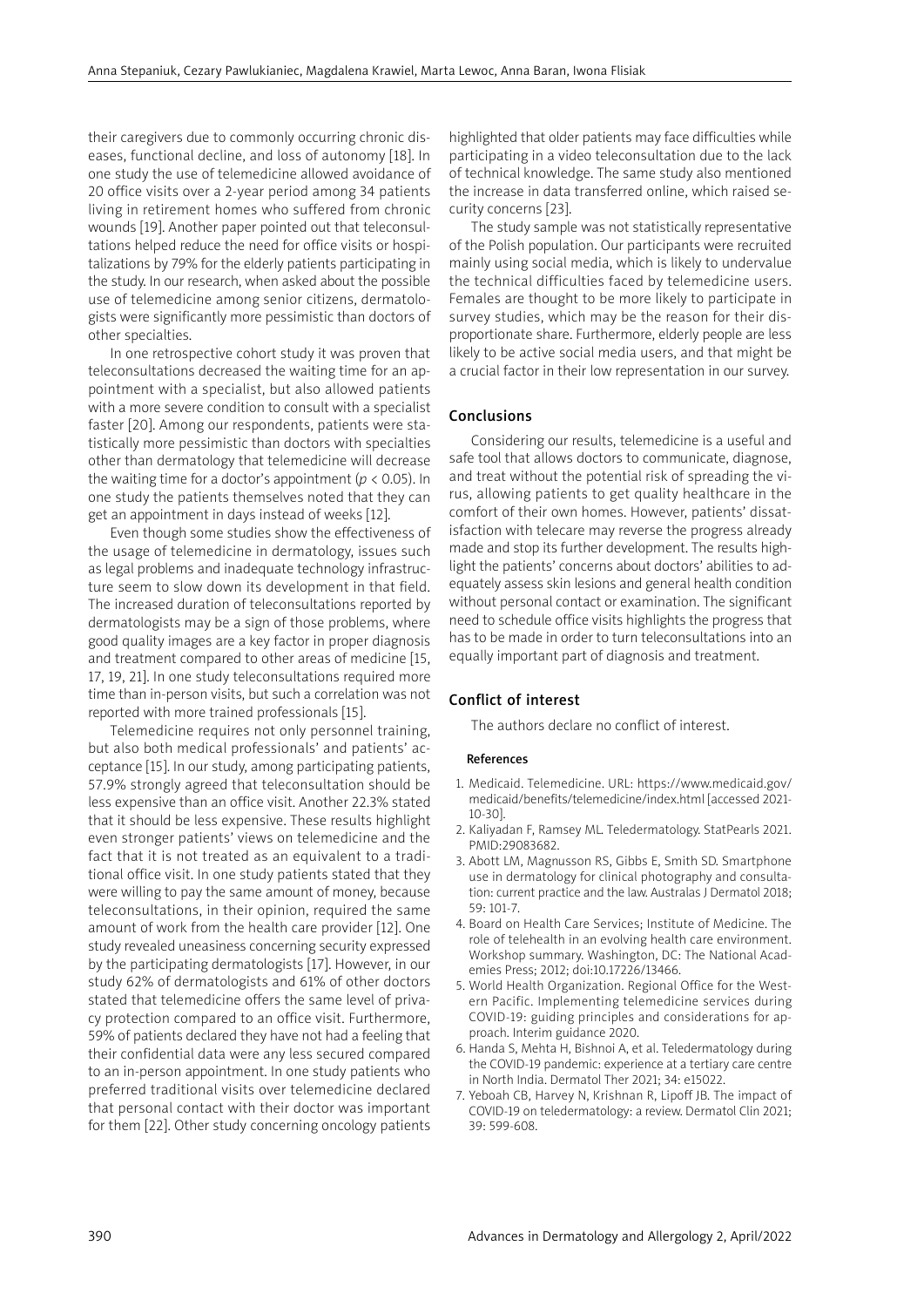their caregivers due to commonly occurring chronic diseases, functional decline, and loss of autonomy [18]. In one study the use of telemedicine allowed avoidance of 20 office visits over a 2-year period among 34 patients living in retirement homes who suffered from chronic wounds [19]. Another paper pointed out that teleconsultations helped reduce the need for office visits or hospitalizations by 79% for the elderly patients participating in the study. In our research, when asked about the possible use of telemedicine among senior citizens, dermatologists were significantly more pessimistic than doctors of other specialties.

In one retrospective cohort study it was proven that teleconsultations decreased the waiting time for an appointment with a specialist, but also allowed patients with a more severe condition to consult with a specialist faster [20]. Among our respondents, patients were statistically more pessimistic than doctors with specialties other than dermatology that telemedicine will decrease the waiting time for a doctor's appointment (*p* < 0.05). In one study the patients themselves noted that they can get an appointment in days instead of weeks [12].

Even though some studies show the effectiveness of the usage of telemedicine in dermatology, issues such as legal problems and inadequate technology infrastructure seem to slow down its development in that field. The increased duration of teleconsultations reported by dermatologists may be a sign of those problems, where good quality images are a key factor in proper diagnosis and treatment compared to other areas of medicine [15, 17, 19, 21]. In one study teleconsultations required more time than in-person visits, but such a correlation was not reported with more trained professionals [15].

Telemedicine requires not only personnel training, but also both medical professionals' and patients' acceptance [15]. In our study, among participating patients, 57.9% strongly agreed that teleconsultation should be less expensive than an office visit. Another 22.3% stated that it should be less expensive. These results highlight even stronger patients' views on telemedicine and the fact that it is not treated as an equivalent to a traditional office visit. In one study patients stated that they were willing to pay the same amount of money, because teleconsultations, in their opinion, required the same amount of work from the health care provider [12]. One study revealed uneasiness concerning security expressed by the participating dermatologists [17]. However, in our study 62% of dermatologists and 61% of other doctors stated that telemedicine offers the same level of privacy protection compared to an office visit. Furthermore, 59% of patients declared they have not had a feeling that their confidential data were any less secured compared to an in-person appointment. In one study patients who preferred traditional visits over telemedicine declared that personal contact with their doctor was important for them [22]. Other study concerning oncology patients

highlighted that older patients may face difficulties while participating in a video teleconsultation due to the lack of technical knowledge. The same study also mentioned the increase in data transferred online, which raised security concerns [23].

The study sample was not statistically representative of the Polish population. Our participants were recruited mainly using social media, which is likely to undervalue the technical difficulties faced by telemedicine users. Females are thought to be more likely to participate in survey studies, which may be the reason for their disproportionate share. Furthermore, elderly people are less likely to be active social media users, and that might be a crucial factor in their low representation in our survey.

# Conclusions

Considering our results, telemedicine is a useful and safe tool that allows doctors to communicate, diagnose, and treat without the potential risk of spreading the virus, allowing patients to get quality healthcare in the comfort of their own homes. However, patients' dissatisfaction with telecare may reverse the progress already made and stop its further development. The results highlight the patients' concerns about doctors' abilities to adequately assess skin lesions and general health condition without personal contact or examination. The significant need to schedule office visits highlights the progress that has to be made in order to turn teleconsultations into an equally important part of diagnosis and treatment.

## Conflict of interest

The authors declare no conflict of interest.

#### References

- 1. Medicaid. Telemedicine. URL: https://www.medicaid.gov/ medicaid/benefits/telemedicine/index.html [accessed 2021- 10-30].
- 2. Kaliyadan F, Ramsey ML. Teledermatology. StatPearls 2021. PMID:29083682.
- 3. Abott LM, Magnusson RS, Gibbs E, Smith SD. Smartphone use in dermatology for clinical photography and consultation: current practice and the law. Australas J Dermatol 2018; 59: 101-7.
- 4. Board on Health Care Services; Institute of Medicine. The role of telehealth in an evolving health care environment. Workshop summary. Washington, DC: The National Academies Press; 2012; doi:10.17226/13466.
- 5. World Health Organization. Regional Office for the Western Pacific. Implementing telemedicine services during COVID-19: guiding principles and considerations for approach. Interim guidance 2020.
- 6. Handa S, Mehta H, Bishnoi A, et al. Teledermatology during the COVID-19 pandemic: experience at a tertiary care centre in North India. Dermatol Ther 2021; 34: e15022.
- 7. Yeboah CB, Harvey N, Krishnan R, Lipoff JB. The impact of COVID-19 on teledermatology: a review. Dermatol Clin 2021; 39: 599-608.